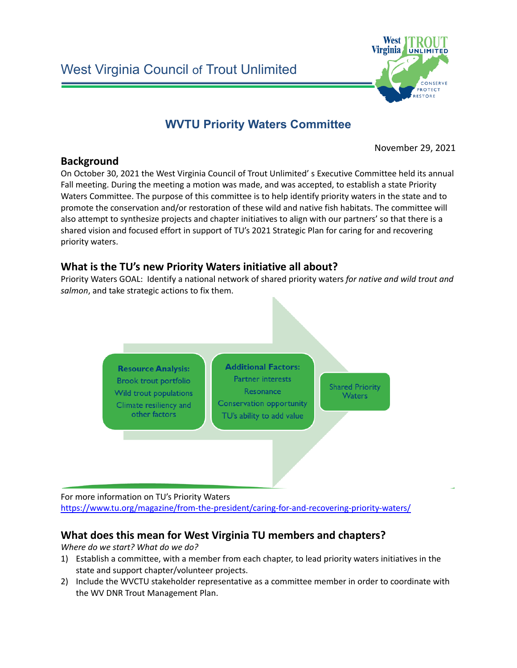

# **WVTU Priority Waters Committee**

November 29, 2021

#### **Background**

On October 30, 2021 the West Virginia Council of Trout Unlimited' s Executive Committee held its annual Fall meeting. During the meeting a motion was made, and was accepted, to establish a state Priority Waters Committee. The purpose of this committee is to help identify priority waters in the state and to promote the conservation and/or restoration of these wild and native fish habitats. The committee will also attempt to synthesize projects and chapter initiatives to align with our partners' so that there is a shared vision and focused effort in support of TU's 2021 Strategic Plan for caring for and recovering priority waters.

## **What is the TU's new Priority Waters initiative all about?**

Priority Waters GOAL: Identify a national network of shared priority waters *for native and wild trout and salmon*, and take strategic actions to fix them.



For more information on TU's Priority Waters <https://www.tu.org/magazine/from-the-president/caring-for-and-recovering-priority-waters/>

# **What does this mean for West Virginia TU members and chapters?**

*Where do we start? What do we do?*

- 1) Establish a committee, with a member from each chapter, to lead priority waters initiatives in the state and support chapter/volunteer projects.
- 2) Include the WVCTU stakeholder representative as a committee member in order to coordinate with the WV DNR Trout Management Plan.